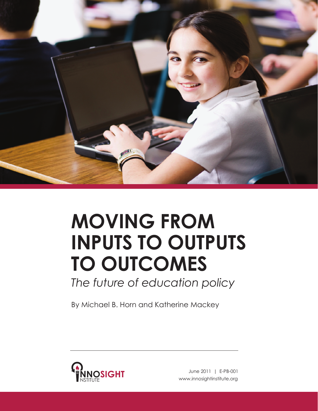

# **Moving from Inputs to outputs to outcomes**

*The future of education policy*

By Michael B. Horn and Katherine Mackey

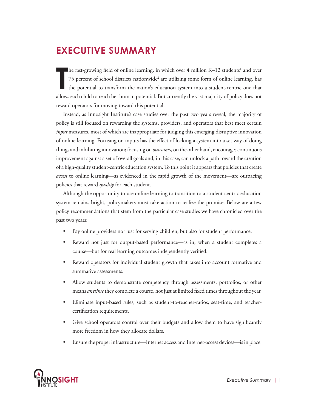# **Executive Summary**

**The fast-g**<br>
T<sub>5</sub> perce<br>
the pote he fast-growing field of online learning, in which over 4 million K–12 students<sup>1</sup> and over 75 percent of school districts nationwide<sup>2</sup> are utilizing some form of online learning, has the potential to transform the nation's education system into a student-centric one that allows each child to reach her human potential. But currently the vast majority of policy does not reward operators for moving toward this potential.

Instead, as Innosight Institute's case studies over the past two years reveal, the majority of policy is still focused on rewarding the systems, providers, and operators that best meet certain *input* measures, most of which are inappropriate for judging this emerging disruptive innovation of online learning. Focusing on inputs has the effect of locking a system into a set way of doing things and inhibiting innovation; focusing on *outcomes,* on the other hand, encourages continuous improvement against a set of overall goals and, in this case, can unlock a path toward the creation of a high-quality student-centric education system. To this point it appears that policies that create *access* to online learning—as evidenced in the rapid growth of the movement—are outpacing policies that reward *quality* for each student.

Although the opportunity to use online learning to transition to a student-centric education system remains bright, policymakers must take action to realize the promise. Below are a few policy recommendations that stem from the particular case studies we have chronicled over the past two years:

- Pay online providers not just for serving children, but also for student performance.
- Reward not just for output-based performance—as in, when a student completes a course—but for real learning outcomes independently verified.
- Reward operators for individual student growth that takes into account formative and summative assessments.
- Allow students to demonstrate competency through assessments, portfolios, or other means *anytime* they complete a course, not just at limited fixed times throughout the year.
- Eliminate input-based rules, such as student-to-teacher-ratios, seat-time, and teachercertification requirements.
- Give school operators control over their budgets and allow them to have significantly more freedom in how they allocate dollars.
- Ensure the proper infrastructure—Internet access and Internet-access devices—is in place.

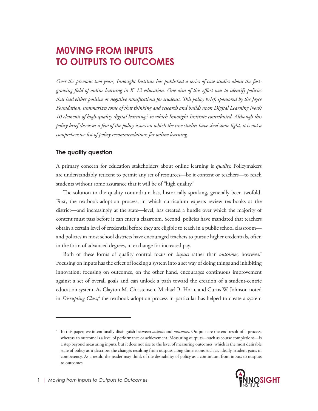# **M0ving from inputs to outputs to outcomes**

*Over the previous two years, Innosight Institute has published a series of case studies about the fastgrowing field of online learning in K–12 education. One aim of this effort was to identify policies that had either positive or negative ramifications for students. This policy brief, sponsored by the Joyce Foundation, summarizes some of that thinking and research and builds upon Digital Learning Now's 10 elements of high-quality digital learning,3 to which Innosight Institute contributed. Although this policy brief discusses a few of the policy issues on which the case studies have shed some light, it is not a comprehensive list of policy recommendations for online learning.*

### **The quality question**

A primary concern for education stakeholders about online learning is *quality.* Policymakers are understandably reticent to permit any set of resources—be it content or teachers—to reach students without some assurance that it will be of "high quality."

The solution to the quality conundrum has, historically speaking, generally been twofold. First, the textbook-adoption process, in which curriculum experts review textbooks at the district—and increasingly at the state—level, has created a hurdle over which the majority of content must pass before it can enter a classroom. Second, policies have mandated that teachers obtain a certain level of credential before they are eligible to teach in a public school classroom and policies in most school districts have encouraged teachers to pursue higher credentials, often in the form of advanced degrees, in exchange for increased pay.

Both of these forms of quality control focus on *inputs* rather than *outcomes,* however.\* Focusing on inputs has the effect of locking a system into a set way of doing things and inhibiting innovation; focusing on outcomes, on the other hand, encourages continuous improvement against a set of overall goals and can unlock a path toward the creation of a student-centric education system. As Clayton M. Christensen, Michael B. Horn, and Curtis W. Johnson noted in *Disrupting Class*, 4 the textbook-adoption process in particular has helped to create a system

<sup>\*</sup> In this paper, we intentionally distinguish between *outputs* and *outcomes*. Outputs are the end result of a process, whereas an outcome is a level of performance or achievement. Measuring outputs—such as course completions—is a step beyond measuring inputs, but it does not rise to the level of measuring outcomes, which is the most desirable state of policy as it describes the changes resulting from outputs along dimensions such as, ideally, student gains in competency. As a result, the reader may think of the desirability of policy as a continuum from inputs to outputs to outcomes.

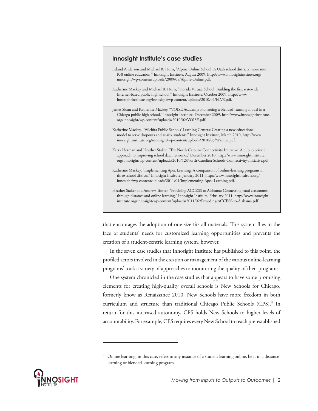#### **Innosight Institute's case studies**

- Leland Anderson and Michael B. Horn, "Alpine Online School: A Utah school district's move into K-8 online education," Innosight Institute, August 2009, http://www.innosightinstitute.org/ innosight/wp-content/uploads/2009/08/Alpine-Online.pdf.
- Katherine Mackey and Michael B. Horn, "Florida Virtual School: Building the first statewide, Internet-based public high school," Innosight Institute, October 2009, http://www. innosightinstitute.org/innosight/wp-content/uploads/2010/02/FLVS.pdf.
- James Sloan and Katherine Mackey, "VOISE Academy: Pioneering a blended-learning model in a Chicago public high school," Innosight Institute, December 2009, http://www.innosightinstitute. org/innosight/wp-content/uploads/2010/02/VOISE.pdf.
- Katherine Mackey, "Wichita Public Schools' Learning Centers: Creating a new educational model to serve dropouts and at-risk students," Innosight Institute, March 2010, http://www. innosightinstitute.org/innosight/wp-content/uploads/2010/03/Wichita.pdf.
- Kerry Herman and Heather Staker, "The North Carolina Connectivity Initiative: A public-private approach to improving school data networks," December 2010, http://www.innosightinstitute. org/innosight/wp-content/uploads/2010/12/North-Carolina-Schools-Connectivity-Initiative.pdf.
- Katherine Mackey, "Implementing Apex Learning: A comparison of online-learning programs in three school disticts," Innosight Institute, January 2011, http://www.innosightinstitute.org/ innosight/wp-content/uploads/2011/01/Implementing-Apex-Learning.pdf.
- Heather Staker and Andrew Trotter, "Providing ACCESS to Alabama: Connecting rural classrooms through distance and online learning," Innosight Institute, February 2011, http://www.innosight institute.org/innosight/wp-content/uploads/2011/02/Providing-ACCESS-to-Alabama.pdf.

that encourages the adoption of one-size-fits-all materials. This system flies in the face of students' needs for customized learning opportunities and prevents the creation of a student-centric learning system, however.

In the seven case studies that Innosight Institute has published to this point, the profiled actors involved in the creation or management of the various online-learning programs\* took a variety of approaches to monitoring the quality of their programs.

One system chronicled in the case studies that appears to have some promising elements for creating high-quality overall schools is New Schools for Chicago, formerly know as Renaissance 2010. New Schools have more freedom in both curriculum and structure than traditional Chicago Public Schools (CPS).<sup>5</sup> In return for this increased autonomy, CPS holds New Schools to higher levels of accountability. For example, CPS requires every New School to reach pre-established



Online learning, in this case, refers to any instance of a student learning online, be it in a distancelearning or blended-learning program.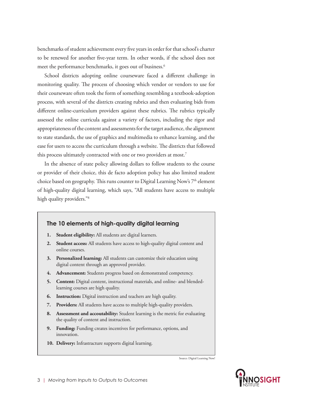benchmarks of student achievement every five years in order for that school's charter to be renewed for another five-year term. In other words, if the school does not meet the performance benchmarks, it goes out of business.<sup>6</sup>

School districts adopting online courseware faced a different challenge in monitoring quality. The process of choosing which vendor or vendors to use for their courseware often took the form of something resembling a textbook-adoption process, with several of the districts creating rubrics and then evaluating bids from different online-curriculum providers against these rubrics. The rubrics typically assessed the online curricula against a variety of factors, including the rigor and appropriateness of the content and assessments for the target audience, the alignment to state standards, the use of graphics and multimedia to enhance learning, and the ease for users to access the curriculum through a website. The districts that followed this process ultimately contracted with one or two providers at most.<sup>7</sup>

In the absence of state policy allowing dollars to follow students to the course or provider of their choice, this de facto adoption policy has also limited student choice based on geography. This runs counter to Digital Learning Now's  $7<sup>th</sup>$  element of high-quality digital learning, which says, "All students have access to multiple high quality providers."<sup>8</sup>

#### **The 10 elements of high-quality digital learning**

- **1. Student eligibility:** All students are digital learners.
- **2. Student access:** All students have access to high-quality digital content and online courses.
- **3. Personalized learning:** All students can customize their education using digital content through an approved provider.
- **4. Advancement:** Students progress based on demonstrated competency.
- **5. Content:** Digital content, instructional materials, and online- and blendedlearning courses are high quality.
- **6. Instruction:** Digital instruction and teachers are high quality.
- **7. Providers:** All students have access to multiple high-quality providers.
- **8. Assessment and accoutability:** Student learning is the metric for evaluating the quality of content and instruction.
- **9. Funding:** Funding creates incentives for performance, options, and innovation.
- 10. Delivery: Infrastracture supports digital learning.

Source: Digital Learning Now!

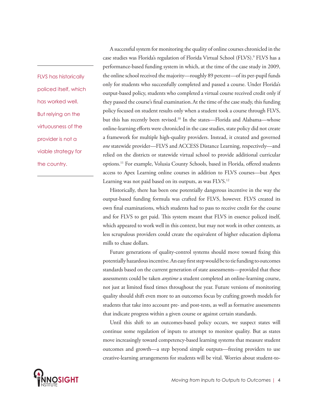FLVS has historically policed itself, which has worked well. But relying on the virtuousness of the provider is not a viable strategy for the country.

A successful system for monitoring the quality of online courses chronicled in the case studies was Florida's regulation of Florida Virtual School (FLVS).9 FLVS has a performance-based funding system in which, at the time of the case study in 2009, the online school received the majority—roughly 89 percent—of its per-pupil funds only for students who successfully completed and passed a course. Under Florida's output-based policy, students who completed a virtual course received credit only if they passed the course's final examination.At the time of the case study, this funding policy focused on student results only when a student took a course through FLVS, but this has recently been revised.<sup>10</sup> In the states—Florida and Alabama—whose online-learning efforts were chronicled in the case studies, state policy did not create a framework for multiple high-quality providers. Instead, it created and governed *one* statewide provider—FLVS and ACCESS Distance Learning, respectively—and relied on the districts or statewide virtual school to provide additional curricular options.11 For example, Volusia County Schools, based in Florida, offered students access to Apex Learning online courses in addition to FLVS courses—but Apex Learning was not paid based on its outputs, as was FLVS.<sup>12</sup>

Historically, there has been one potentially dangerous incentive in the way the output-based funding formula was crafted for FLVS, however. FLVS created its own final examinations, which students had to pass to receive credit for the course and for FLVS to get paid. This system meant that FLVS in essence policed itself, which appeared to work well in this context, but may not work in other contexts, as less scrupulous providers could create the equivalent of higher education diploma mills to chase dollars.

Future generations of quality-control systems should move toward fixing this potentially hazardous incentive. An easy first step would be to tie funding to outcomes standards based on the current generation of state assessments—provided that these assessments could be taken *anytime* a student completed an online-learning course, not just at limited fixed times throughout the year. Future versions of monitoring quality should shift even more to an outcomes focus by crafting growth models for students that take into account pre- and post-tests, as well as formative assessments that indicate progress within a given course or against certain standards.

Until this shift to an outcomes-based policy occurs, we suspect states will continue some regulation of inputs to attempt to monitor quality. But as states move increasingly toward competency-based learning systems that measure student outcomes and growth—a step beyond simple outputs—freeing providers to use creative-learning arrangements for students will be vital. Worries about student-to-

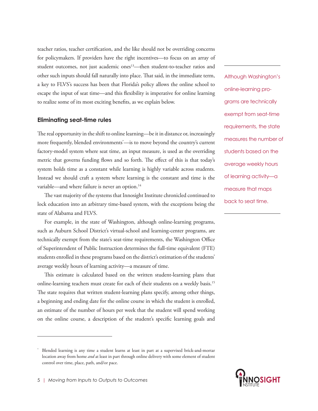teacher ratios, teacher certification, and the like should not be overriding concerns for policymakers. If providers have the right incentives—to focus on an array of student outcomes, not just academic ones<sup>13</sup>—then student-to-teacher ratios and other such inputs should fall naturally into place. That said, in the immediate term, a key to FLVS's success has been that Florida's policy allows the online school to escape the input of seat time—and this flexibility is imperative for online learning to realize some of its most exciting benefits, as we explain below.

#### **Eliminating seat-time rules**

The real opportunity in the shift to online learning—be it in distance or, increasingly more frequently, blended environments\* —is to move beyond the country's current factory-model system where seat time, an input measure, is used as the overriding metric that governs funding flows and so forth. The effect of this is that today's system holds time as a constant while learning is highly variable across students. Instead we should craft a system where learning is the constant and time is the variable—and where failure is never an option.<sup>14</sup>

The vast majority of the systems that Innosight Institute chronicled continued to lock education into an arbitrary time-based system, with the exceptions being the state of Alabama and FLVS.

For example, in the state of Washington, although online-learning programs, such as Auburn School District's virtual-school and learning-center programs, are technically exempt from the state's seat-time requirements, the Washington Office of Superintendent of Public Instruction determines the full-time equivalent (FTE) students enrolled in these programs based on the district's estimation of the students' average weekly hours of learning activity—a measure of time.

This estimate is calculated based on the written student-learning plans that online-learning teachers must create for each of their students on a weekly basis.15 The state requires that written student-learning plans specify, among other things, a beginning and ending date for the online course in which the student is enrolled, an estimate of the number of hours per week that the student will spend working on the online course, a description of the student's specific learning goals and

Although Washington's online-learning programs are technically exempt from seat-time requirements, the state measures the number of students based on the average weekly hours of learning activity—a measure that maps back to seat time.



Blended learning is any time a student learns at least in part at a supervised brick-and-mortar location away from home *and* at least in part through online delivery with some element of student control over time, place, path, and/or pace.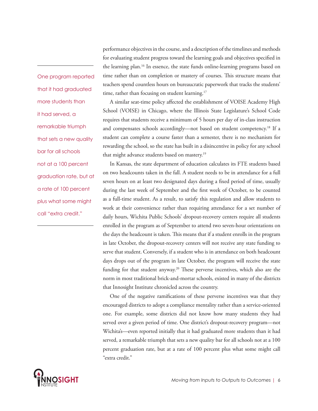One program reported that it had graduated more students than it had served, a remarkable triumph that sets a new quality bar for all schools not at a 100 percent graduation rate, but at a rate of 100 percent plus what some might call "extra credit."

performance objectives in the course, and a description of the timelines and methods for evaluating student progress toward the learning goals and objectives specified in the learning plan.<sup>16</sup> In essence, the state funds online-learning programs based on time rather than on completion or mastery of courses. This structure means that teachers spend countless hours on bureaucratic paperwork that tracks the students' time, rather than focusing on student learning.<sup>17</sup>

A similar seat-time policy affected the establishment of VOISE Academy High School (VOISE) in Chicago, where the Illinois State Legislature's School Code requires that students receive a minimum of 5 hours per day of in-class instruction and compensates schools accordingly—not based on student competency.<sup>18</sup> If a student can complete a course faster than a semester, there is no mechanism for rewarding the school, so the state has built in a disincentive in policy for any school that might advance students based on mastery.<sup>19</sup>

In Kansas, the state department of education calculates its FTE students based on two headcounts taken in the fall. A student needs to be in attendance for a full seven hours on at least two designated days during a fixed period of time, usually during the last week of September and the first week of October, to be counted as a full-time student. As a result, to satisfy this regulation and allow students to work at their convenience rather than requiring attendance for a set number of daily hours, Wichita Public Schools' dropout-recovery centers require all students enrolled in the program as of September to attend two seven-hour orientations on the days the headcount is taken. This means that if a student enrolls in the program in late October, the dropout-recovery centers will not receive any state funding to serve that student. Conversely, if a student who is in attendance on both headcount days drops out of the program in late October, the program will receive the state funding for that student anyway.<sup>20</sup> These perverse incentives, which also are the norm in most traditional brick-and-mortar schools, existed in many of the districts that Innosight Institute chronicled across the country.

One of the negative ramifications of these perverse incentives was that they encouraged districts to adopt a compliance mentality rather than a service-oriented one. For example, some districts did not know how many students they had served over a given period of time. One district's dropout-recovery program—not Wichita's—even reported initially that it had graduated more students than it had served, a remarkable triumph that sets a new quality bar for all schools not at a 100 percent graduation rate, but at a rate of 100 percent plus what some might call "extra credit."

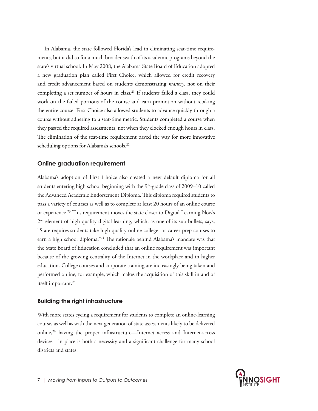In Alabama, the state followed Florida's lead in eliminating seat-time requirements, but it did so for a much broader swath of its academic programs beyond the state's virtual school. In May 2008, the Alabama State Board of Education adopted a new graduation plan called First Choice, which allowed for credit recovery and credit advancement based on students demonstrating *mastery,* not on their completing a set number of hours in class.<sup>21</sup> If students failed a class, they could work on the failed portions of the course and earn promotion without retaking the entire course. First Choice also allowed students to advance quickly through a course without adhering to a seat-time metric. Students completed a course when they passed the required assessments, not when they clocked enough hours in class. The elimination of the seat-time requirement paved the way for more innovative scheduling options for Alabama's schools.<sup>22</sup>

#### **Online graduation requirement**

Alabama's adoption of First Choice also created a new default diploma for all students entering high school beginning with the  $9<sup>th</sup>$ -grade class of 2009–10 called the Advanced Academic Endorsement Diploma. This diploma required students to pass a variety of courses as well as to complete at least 20 hours of an online course or experience.<sup>23</sup> This requirement moves the state closer to Digital Learning Now's 2nd element of high-quality digital learning, which, as one of its sub-bullets, says, "State requires students take high quality online college- or career-prep courses to earn a high school diploma."24 The rationale behind Alabama's mandate was that the State Board of Education concluded that an online requirement was important because of the growing centrality of the Internet in the workplace and in higher education. College courses and corporate training are increasingly being taken and performed online, for example, which makes the acquisition of this skill in and of itself important.<sup>25</sup>

#### **Building the right infrastructure**

With more states eyeing a requirement for students to complete an online-learning course, as well as with the next generation of state assessments likely to be delivered online,<sup>26</sup> having the proper infrastructure—Internet access and Internet-access devices—in place is both a necessity and a significant challenge for many school districts and states.

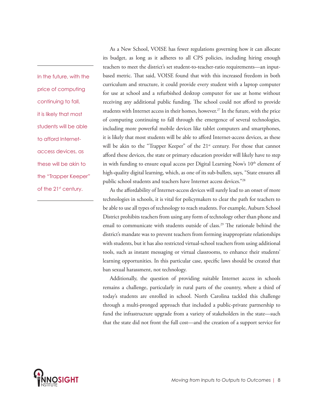In the future, with the price of computing continuing to fall, it is likely that most students will be able to afford Internetaccess devices, as these will be akin to the "Trapper Keeper" of the 21<sup>st</sup> century.

As a New School, VOISE has fewer regulations governing how it can allocate its budget, as long as it adheres to all CPS policies, including hiring enough teachers to meet the district's set student-to-teacher-ratio requirements—an inputbased metric. That said, VOISE found that with this increased freedom in both curriculum and structure, it could provide every student with a laptop computer for use at school and a refurbished desktop computer for use at home without receiving any additional public funding. The school could not afford to provide students with Internet access in their homes, however.<sup>27</sup> In the future, with the price of computing continuing to fall through the emergence of several technologies, including more powerful mobile devices like tablet computers and smartphones, it is likely that most students will be able to afford Internet-access devices, as these will be akin to the "Trapper Keeper" of the 21<sup>st</sup> century. For those that cannot afford these devices, the state or primary education provider will likely have to step in with funding to ensure equal access per Digital Learning Now's 10<sup>th</sup> element of high-quality digital learning, which, as one of its sub-bullets, says, "State ensures all public school students and teachers have Internet access devices."28

As the affordability of Internet-access devices will surely lead to an onset of more technologies in schools, it is vital for policymakers to clear the path for teachers to be able to use all types of technology to reach students. For example, Auburn School District prohibits teachers from using any form of technology other than phone and email to communicate with students outside of class.<sup>29</sup> The rationale behind the district's mandate was to prevent teachers from forming inappropriate relationships with students, but it has also restricted virtual-school teachers from using additional tools, such as instant messaging or virtual classrooms, to enhance their students' learning opportunities. In this particular case, specific laws should be created that ban sexual harassment, not technology.

Additionally, the question of providing suitable Internet access in schools remains a challenge, particularly in rural parts of the country, where a third of today's students are enrolled in school. North Carolina tackled this challenge through a multi-pronged approach that included a public-private partnership to fund the infrastructure upgrade from a variety of stakeholders in the state—such that the state did not front the full cost—and the creation of a support service for

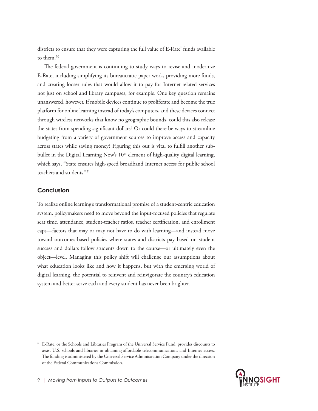districts to ensure that they were capturing the full value of E-Rate\* funds available to them.<sup>30</sup>

The federal government is continuing to study ways to revise and modernize E-Rate, including simplifying its bureaucratic paper work, providing more funds, and creating looser rules that would allow it to pay for Internet-related services not just on school and library campuses, for example. One key question remains unanswered, however. If mobile devices continue to proliferate and become the true platform for online learning instead of today's computers, and these devices connect through wireless networks that know no geographic bounds, could this also release the states from spending significant dollars? Or could there be ways to streamline budgeting from a variety of government sources to improve access and capacity across states while saving money? Figuring this out is vital to fulfill another subbullet in the Digital Learning Now's 10<sup>th</sup> element of high-quality digital learning, which says, "State ensures high-speed broadband Internet access for public school teachers and students."31

#### **Conclusion**

To realize online learning's transformational promise of a student-centric education system, policymakers need to move beyond the input-focused policies that regulate seat time, attendance, student-teacher ratios, teacher certification, and enrollment caps—factors that may or may not have to do with learning—and instead move toward outcomes-based policies where states and districts pay based on student success and dollars follow students down to the course—or ultimately even the object—level. Managing this policy shift will challenge our assumptions about what education looks like and how it happens, but with the emerging world of digital learning, the potential to reinvent and reinvigorate the country's education system and better serve each and every student has never been brighter.

<sup>\*</sup> E-Rate, or the Schools and Libraries Program of the Universal Service Fund, provides discounts to assist U.S. schools and libraries in obtaining affordable telecommunications and Internet access. The funding is administered by the Universal Service Administration Company under the direction of the Federal Communications Commission.

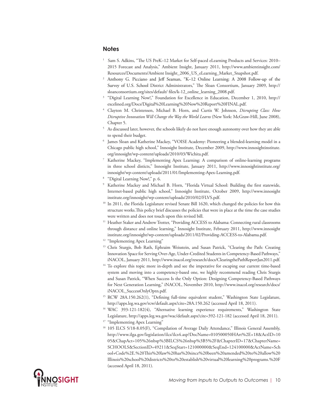#### **Notes**

- 1 Sam S. Adkins, "The US PreK–12 Market for Self-paced eLearning Products and Services: 2010– 2015 Forecast and Analysis," Ambient Insight, January 2011, http://www.ambientinsight.com/ Resources/Documents/Ambient Insight\_2006\_US\_eLearning\_Market\_Snapshot.pdf.
- <sup>2</sup> Anthony G. Picciano and Jeff Seaman, "K–12 Online Learning: A 2008 Follow-up of the Survey of U.S. School District Administrators," The Sloan Consortium, January 2009, http:// sloanconsortium.org/sites/default/ files/k-12\_online\_learning\_2008.pdf.
- <sup>3</sup> "Digital Learning Now!," Foundation for Excellence in Education, December 1, 2010, http:// excelined.org/Docs/Digital%20Learning%20Now%20Report%20FINAL.pdf.
- <sup>4</sup> Clayton M. Christensen, Michael B. Horn, and Curtis W. Johnson, *Disrupting Class: How Disruptive Innovation Will Change the Way the World Learns* (New York: McGraw-Hill, June 2008), Chapter 5.
- <sup>5</sup> As discussed later, however, the schools likely do not have enough autonomy over how they are able to spend their budget.
- James Sloan and Katherine Mackey, "VOISE Academy: Pioneering a blended-learning model in a Chicago public high school," Innosight Institute, December 2009, http://www.innosightinstitute. org/innosight/wp-content/uploads/2010/03/Wichita.pdf.
- Katherine Mackey, "Implementing Apex Learning: A comparison of online-learning programs in three school disticts," Innosight Institute, January 2011, http://www.innosightinstitute.org/ innosight/wp-content/uploads/2011/01/Implementing-Apex-Learning.pdf.
- <sup>8</sup> "Digital Learning Now!," p. 6.
- Katherine Mackey and Michael B. Horn, "Florida Virtual School: Building the first statewide, Internet-based public high school," Innosight Institute, October 2009, http://www.innosight institute.org/innosight/wp-content/uploads/2010/02/FLVS.pdf.
- <sup>10</sup> In 2011, the Florida Legislature revised Senate Bill 1620, which changed the policies for how this structure works.This policy brief discusses the policies that were in place at the time the case studies were written and does not touch upon this revised bill.
- <sup>11</sup> Heather Staker and Andrew Trotter, "Providing ACCESS to Alabama: Connecting rural classrooms through distance and online learning," Innosight Institute, February 2011, http://www.innosight institute.org/innosight/wp-content/uploads/2011/02/Providing-ACCESS-to-Alabama.pdf.
- <sup>12</sup> "Implementing Apex Learning"
- <sup>13</sup> Chris Sturgis, Bob Rath, Ephraim Weisstein, and Susan Patrick, "Clearing the Path: Creating Innovation Space for Serving Over-Age, Under-Credited Students in Competency-Based Pathways," iNACOL, January 2011, http://www.inacol.org/research/docs/ClearingthePathReportJan2011.pdf.
- <sup>14</sup> To explore this topic more in-depth and see the imperative for escaping our current time-based system and moving into a competency-based one, we highly recommend reading Chris Sturgis and Susan Patrick, "When Success Is the Only Option: Designing Competency-Based Pathways for Next Generation Learning," iNACOL, November 2010, http://www.inacol.org/research/docs/ iNACOL\_SuccessOnlyOptn.pdf.
- <sup>15</sup> RCW 28A.150.262(1), "Defining full-time equivalent student," Washington State Legislature, http://apps.leg.wa.gov/rcw/default.aspx?cite=28A.150.262 (accessed April 18, 2011).
- <sup>16</sup> WAC 393-121-182(4), "Alternative learning experience requirements," Washington State Legislature, http://apps.leg.wa.gov/wac/default.aspx?cite=392-121-182 (accessed April 18, 2011).
- <sup>17</sup> "Implementing Apex Learning"
- <sup>18</sup> 105 ILCS 5/18-8.05(F), "Compilation of Average Daily Attendance," Illinois General Assembly, http://www.ilga.gov/legislation/ilcs/ilcs4.asp?DocName=010500050HArt%2E+18&ActID=10 05&ChapAct=105%26nbsp%3BILCS%26nbsp%3B5%2F&ChapterID=17&ChapterName= SCHOOLS&SectionID=49211&SeqStart=121000000&SeqEnd=124100000&ActName=Sch ool+Code%2E.%20This%20law%20has%20since%20been%20amended%20to%20allow%20 Illinois%20school%20districts%20to%20establish%20virtual%20learning%20programs.%20F (accessed April 18, 2011).

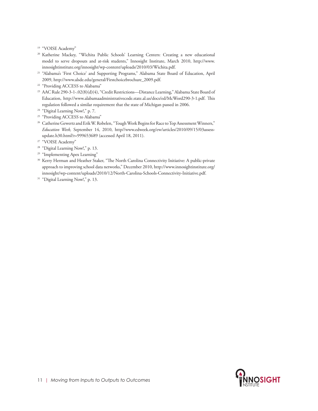<sup>19</sup> "VOISE Academy"

- <sup>20</sup> Katherine Mackey, "Wichita Public Schools' Learning Centers: Creating a new educational model to serve dropouts and at-risk students," Innosight Institute, March 2010, http://www. innosightinstitute.org/innosight/wp-content/uploads/2010/03/Wichita.pdf.
- <sup>21</sup> "Alabama's 'First Choice' and Supporting Programs," Alabama State Board of Education, April 2009, http://www.alsde.edu/general/Firstchoicebrochure\_2009.pdf.
- <sup>22</sup> "Providing ACCESS to Alabama"
- <sup>23</sup> AAC Rule 290-3-1-.02(8)(d)(4), "Credit Restrictions---Distance Learning," Alabama State Board of Education, http://www.alabamaadministrativecode.state.al.us/docs/ed/McWord290-3-1.pdf. This regulation followed a similar requirement that the state of Michigan passed in 2006.
- <sup>24</sup> "Digital Learning Now!," p. 7.
- <sup>25</sup> "Providing ACCESS to Alabama"
- <sup>26</sup> Catherine Gewertz and Erik W. Robelen, "Tough Work Begins for Race to Top Assessment Winners," *Education Week,* September 14, 2010, http//www.edweek.org/ew/articles/2010/09/15/03assessupdate.h30.html?r=999653689 (accessed April 18, 2011).
- <sup>27</sup> "VOISE Academy"
- <sup>28</sup> "Digital Learning Now!," p. 13.
- <sup>29</sup> "Implementing Apex Learning"
- <sup>30</sup> Kerry Herman and Heather Staker, "The North Carolina Connectivity Initiative: A public-private approach to improving school data networks," December 2010, http://www.innosightinstitute.org/ innosight/wp-content/uploads/2010/12/North-Carolina-Schools-Connectivity-Initiative.pdf.
- <sup>31</sup> "Digital Learning Now!," p. 13.

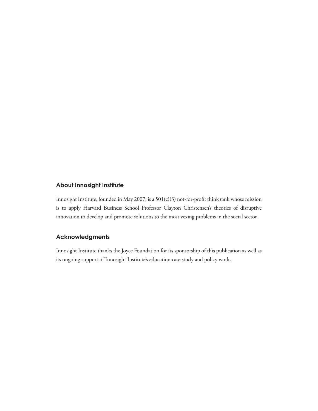#### **About Innosight Institute**

Innosight Institute, founded in May 2007, is a 501(c)(3) not-for-profit think tank whose mission is to apply Harvard Business School Professor Clayton Christensen's theories of disruptive innovation to develop and promote solutions to the most vexing problems in the social sector.

## **Acknowledgments**

Innosight Institute thanks the Joyce Foundation for its sponsorship of this publication as well as its ongoing support of Innosight Institute's education case study and policy work.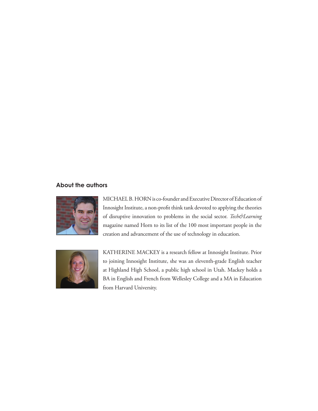#### **About the authors**



MICHAEL B. HORN is co-founder and Executive Director of Education of Innosight Institute, a non-profit think tank devoted to applying the theories of disruptive innovation to problems in the social sector. *Tech&Learning*  magazine named Horn to its list of the 100 most important people in the creation and advancement of the use of technology in education.



KATHERINE MACKEY is a research fellow at Innosight Institute. Prior to joining Innosight Institute, she was an eleventh-grade English teacher at Highland High School, a public high school in Utah. Mackey holds a BA in English and French from Wellesley College and a MA in Education from Harvard University.